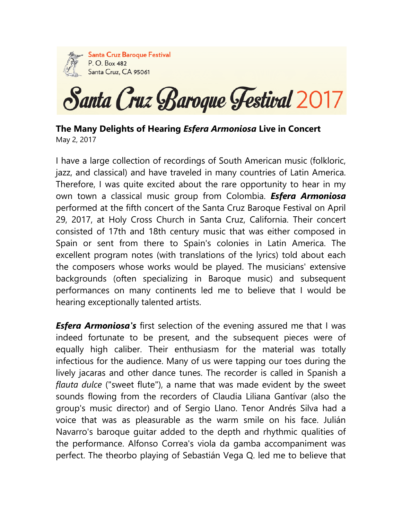

**Santa Cruz Baroque Festival** P. O. Box 482 Santa Cruz, CA 95061

Santa Cruz Baroque Festival 2017

**The Many Delights of Hearing** *Esfera Armoniosa* **Live in Concert**  May 2, 2017

I have a large collection of recordings of South American music (folkloric, jazz, and classical) and have traveled in many countries of Latin America. Therefore, I was quite excited about the rare opportunity to hear in my own town a classical music group from Colombia. *Esfera Armoniosa*  performed at the fifth concert of the Santa Cruz Baroque Festival on April 29, 2017, at Holy Cross Church in Santa Cruz, California. Their concert consisted of 17th and 18th century music that was either composed in Spain or sent from there to Spain's colonies in Latin America. The excellent program notes (with translations of the lyrics) told about each the composers whose works would be played. The musicians' extensive backgrounds (often specializing in Baroque music) and subsequent performances on many continents led me to believe that I would be hearing exceptionally talented artists.

*Esfera Armoniosa's* first selection of the evening assured me that I was indeed fortunate to be present, and the subsequent pieces were of equally high caliber. Their enthusiasm for the material was totally infectious for the audience. Many of us were tapping our toes during the lively jacaras and other dance tunes. The recorder is called in Spanish a *flauta dulce* ("sweet flute"), a name that was made evident by the sweet sounds flowing from the recorders of Claudia Liliana Gantívar (also the group's music director) and of Sergio Llano. Tenor Andrés Silva had a voice that was as pleasurable as the warm smile on his face. Julián Navarro's baroque guitar added to the depth and rhythmic qualities of the performance. Alfonso Correa's viola da gamba accompaniment was perfect. The theorbo playing of Sebastián Vega Q. led me to believe that